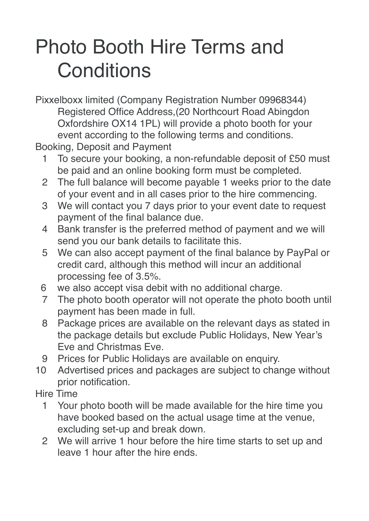## Photo Booth Hire Terms and **Conditions**

Pixxelboxx limited (Company Registration Number 09968344) Registered Office Address,(20 Northcourt Road Abingdon Oxfordshire OX14 1PL) will provide a photo booth for your event according to the following terms and conditions.

Booking, Deposit and Payment

- 1 To secure your booking, a non-refundable deposit of £50 must be paid and an online booking form must be completed.
- 2 The full balance will become payable 1 weeks prior to the date of your event and in all cases prior to the hire commencing.
- 3 We will contact you 7 days prior to your event date to request payment of the final balance due.
- 4 Bank transfer is the preferred method of payment and we will send you our bank details to facilitate this.
- 5 We can also accept payment of the final balance by PayPal or credit card, although this method will incur an additional processing fee of 3.5%.
- 6 we also accept visa debit with no additional charge.
- 7 The photo booth operator will not operate the photo booth until payment has been made in full.
- 8 Package prices are available on the relevant days as stated in the package details but exclude Public Holidays, New Year's Eve and Christmas Eve.
- 9 Prices for Public Holidays are available on enquiry.
- 10 Advertised prices and packages are subject to change without prior notification.
- Hire Time
	- 1 Your photo booth will be made available for the hire time you have booked based on the actual usage time at the venue, excluding set-up and break down.
	- 2 We will arrive 1 hour before the hire time starts to set up and leave 1 hour after the hire ends.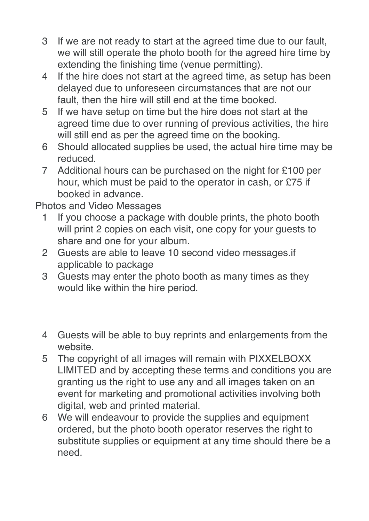- 3 If we are not ready to start at the agreed time due to our fault, we will still operate the photo booth for the agreed hire time by extending the finishing time (venue permitting).
- 4 If the hire does not start at the agreed time, as setup has been delayed due to unforeseen circumstances that are not our fault, then the hire will still end at the time booked.
- 5 If we have setup on time but the hire does not start at the agreed time due to over running of previous activities, the hire will still end as per the agreed time on the booking.
- 6 Should allocated supplies be used, the actual hire time may be reduced.
- 7 Additional hours can be purchased on the night for £100 per hour, which must be paid to the operator in cash, or £75 if booked in advance.

Photos and Video Messages

- 1 If you choose a package with double prints, the photo booth will print 2 copies on each visit, one copy for your guests to share and one for your album.
- 2 Guests are able to leave 10 second video messages.if applicable to package
- 3 Guests may enter the photo booth as many times as they would like within the hire period.
- 4 Guests will be able to buy reprints and enlargements from the website.
- 5 The copyright of all images will remain with PIXXELBOXX LIMITED and by accepting these terms and conditions you are granting us the right to use any and all images taken on an event for marketing and promotional activities involving both digital, web and printed material.
- 6 We will endeavour to provide the supplies and equipment ordered, but the photo booth operator reserves the right to substitute supplies or equipment at any time should there be a need.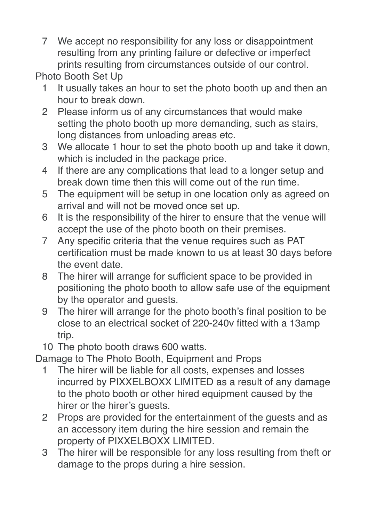7 We accept no responsibility for any loss or disappointment resulting from any printing failure or defective or imperfect prints resulting from circumstances outside of our control.

Photo Booth Set Up

- 1 It usually takes an hour to set the photo booth up and then an hour to break down.
- 2 Please inform us of any circumstances that would make setting the photo booth up more demanding, such as stairs, long distances from unloading areas etc.
- 3 We allocate 1 hour to set the photo booth up and take it down, which is included in the package price.
- 4 If there are any complications that lead to a longer setup and break down time then this will come out of the run time.
- 5 The equipment will be setup in one location only as agreed on arrival and will not be moved once set up.
- 6 It is the responsibility of the hirer to ensure that the venue will accept the use of the photo booth on their premises.
- 7 Any specific criteria that the venue requires such as PAT certification must be made known to us at least 30 days before the event date.
- 8 The hirer will arrange for sufficient space to be provided in positioning the photo booth to allow safe use of the equipment by the operator and guests.
- 9 The hirer will arrange for the photo booth's final position to be close to an electrical socket of 220-240v fitted with a 13amp trip.
- 10 The photo booth draws 600 watts.

Damage to The Photo Booth, Equipment and Props

- 1 The hirer will be liable for all costs, expenses and losses incurred by PIXXELBOXX LIMITED as a result of any damage to the photo booth or other hired equipment caused by the hirer or the hirer's guests.
- 2 Props are provided for the entertainment of the guests and as an accessory item during the hire session and remain the property of PIXXELBOXX LIMITED.
- 3 The hirer will be responsible for any loss resulting from theft or damage to the props during a hire session.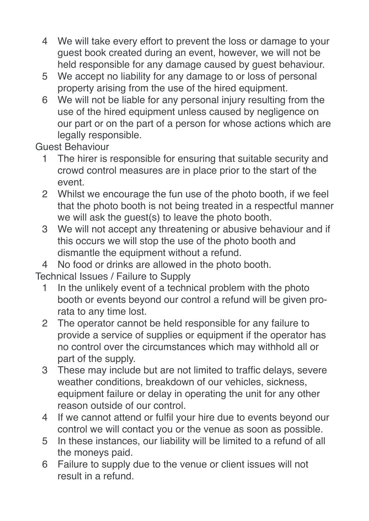- 4 We will take every effort to prevent the loss or damage to your guest book created during an event, however, we will not be held responsible for any damage caused by guest behaviour.
- 5 We accept no liability for any damage to or loss of personal property arising from the use of the hired equipment.
- 6 We will not be liable for any personal injury resulting from the use of the hired equipment unless caused by negligence on our part or on the part of a person for whose actions which are legally responsible.

Guest Behaviour

- 1 The hirer is responsible for ensuring that suitable security and crowd control measures are in place prior to the start of the event.
- 2 Whilst we encourage the fun use of the photo booth, if we feel that the photo booth is not being treated in a respectful manner we will ask the guest(s) to leave the photo booth.
- 3 We will not accept any threatening or abusive behaviour and if this occurs we will stop the use of the photo booth and dismantle the equipment without a refund.
- 4 No food or drinks are allowed in the photo booth.

Technical Issues / Failure to Supply

- 1 In the unlikely event of a technical problem with the photo booth or events beyond our control a refund will be given prorata to any time lost.
- 2 The operator cannot be held responsible for any failure to provide a service of supplies or equipment if the operator has no control over the circumstances which may withhold all or part of the supply.
- 3 These may include but are not limited to traffic delays, severe weather conditions, breakdown of our vehicles, sickness, equipment failure or delay in operating the unit for any other reason outside of our control.
- 4 If we cannot attend or fulfil your hire due to events beyond our control we will contact you or the venue as soon as possible.
- 5 In these instances, our liability will be limited to a refund of all the moneys paid.
- 6 Failure to supply due to the venue or client issues will not result in a refund.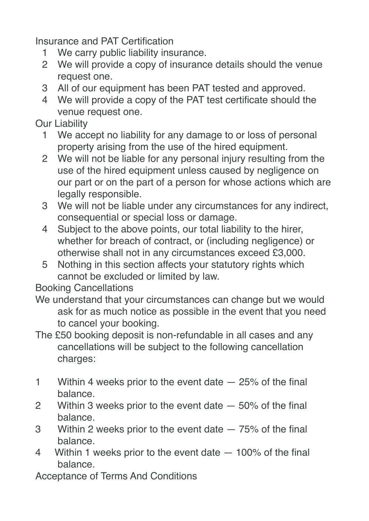Insurance and PAT Certification

- 1 We carry public liability insurance.
- 2 We will provide a copy of insurance details should the venue request one.
- 3 All of our equipment has been PAT tested and approved.
- 4 We will provide a copy of the PAT test certificate should the venue request one.

Our Liability

- 1 We accept no liability for any damage to or loss of personal property arising from the use of the hired equipment.
- 2 We will not be liable for any personal injury resulting from the use of the hired equipment unless caused by negligence on our part or on the part of a person for whose actions which are legally responsible.
- 3 We will not be liable under any circumstances for any indirect, consequential or special loss or damage.
- 4 Subject to the above points, our total liability to the hirer, whether for breach of contract, or (including negligence) or otherwise shall not in any circumstances exceed £3,000.
- 5 Nothing in this section affects your statutory rights which cannot be excluded or limited by law.

Booking Cancellations

- We understand that your circumstances can change but we would ask for as much notice as possible in the event that you need to cancel your booking.
- The £50 booking deposit is non-refundable in all cases and any cancellations will be subject to the following cancellation charges:
- 1 Within 4 weeks prior to the event date 25% of the final balance.
- 2 Within 3 weeks prior to the event date 50% of the final balance.
- 3 Within 2 weeks prior to the event date 75% of the final balance.
- 4 Within 1 weeks prior to the event date 100% of the final balance.

Acceptance of Terms And Conditions